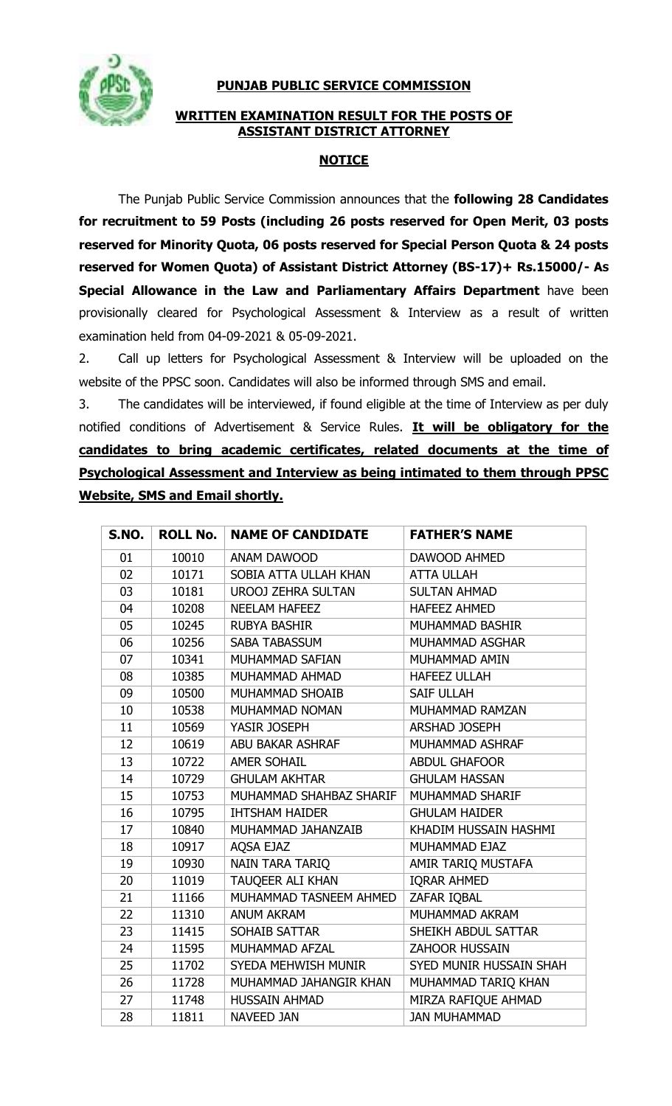

## **PUNJAB PUBLIC SERVICE COMMISSION**

## **WRITTEN EXAMINATION RESULT FOR THE POSTS OF ASSISTANT DISTRICT ATTORNEY**

## **NOTICE**

The Punjab Public Service Commission announces that the **following 28 Candidates for recruitment to 59 Posts (including 26 posts reserved for Open Merit, 03 posts reserved for Minority Quota, 06 posts reserved for Special Person Quota & 24 posts reserved for Women Quota) of Assistant District Attorney (BS-17)+ Rs.15000/- AS Special Allowance in the Law and Parliamentary Affairs Department** have been provisionally cleared for Psychological Assessment & Interview as a result of written examination held from 04-09-2021 & 05-09-2021.

2. Call up letters for Psychological Assessment & Interview will be uploaded on the website of the PPSC soon. Candidates will also be informed through SMS and email.

3. The candidates will be interviewed, if found eligible at the time of Interview as per duly notified conditions of Advertisement & Service Rules. **It will be obligatory for the candidates to bring academic certificates, related documents at the time of Psychological Assessment and Interview as being intimated to them through PPSC Website, SMS and Email shortly.**

| S.NO. | <b>ROLL No.</b> | <b>NAME OF CANDIDATE</b>  | <b>FATHER'S NAME</b>    |
|-------|-----------------|---------------------------|-------------------------|
| 01    | 10010           | ANAM DAWOOD               | DAWOOD AHMED            |
| 02    | 10171           | SOBIA ATTA ULLAH KHAN     | <b>ATTA ULLAH</b>       |
| 03    | 10181           | <b>UROOJ ZEHRA SULTAN</b> | <b>SULTAN AHMAD</b>     |
| 04    | 10208           | <b>NEELAM HAFEEZ</b>      | <b>HAFEEZ AHMED</b>     |
| 05    | 10245           | <b>RUBYA BASHIR</b>       | MUHAMMAD BASHIR         |
| 06    | 10256           | <b>SABA TABASSUM</b>      | MUHAMMAD ASGHAR         |
| 07    | 10341           | MUHAMMAD SAFIAN           | MUHAMMAD AMIN           |
| 08    | 10385           | MUHAMMAD AHMAD            | <b>HAFEEZ ULLAH</b>     |
| 09    | 10500           | MUHAMMAD SHOAIB           | <b>SAIF ULLAH</b>       |
| 10    | 10538           | MUHAMMAD NOMAN            | MUHAMMAD RAMZAN         |
| 11    | 10569           | YASIR JOSEPH              | <b>ARSHAD JOSEPH</b>    |
| 12    | 10619           | ABU BAKAR ASHRAF          | MUHAMMAD ASHRAF         |
| 13    | 10722           | <b>AMER SOHAIL</b>        | <b>ABDUL GHAFOOR</b>    |
| 14    | 10729           | <b>GHULAM AKHTAR</b>      | <b>GHULAM HASSAN</b>    |
| 15    | 10753           | MUHAMMAD SHAHBAZ SHARIF   | MUHAMMAD SHARIF         |
| 16    | 10795           | <b>IHTSHAM HAIDER</b>     | <b>GHULAM HAIDER</b>    |
| 17    | 10840           | MUHAMMAD JAHANZAIB        | KHADIM HUSSAIN HASHMI   |
| 18    | 10917           | AQSA EJAZ                 | MUHAMMAD EJAZ           |
| 19    | 10930           | NAIN TARA TARIQ           | AMIR TARIQ MUSTAFA      |
| 20    | 11019           | TAUQEER ALI KHAN          | <b>IQRAR AHMED</b>      |
| 21    | 11166           | MUHAMMAD TASNEEM AHMED    | ZAFAR IQBAL             |
| 22    | 11310           | <b>ANUM AKRAM</b>         | MUHAMMAD AKRAM          |
| 23    | 11415           | SOHAIB SATTAR             | SHEIKH ABDUL SATTAR     |
| 24    | 11595           | MUHAMMAD AFZAL            | ZAHOOR HUSSAIN          |
| 25    | 11702           | SYEDA MEHWISH MUNIR       | SYED MUNIR HUSSAIN SHAH |
| 26    | 11728           | MUHAMMAD JAHANGIR KHAN    | MUHAMMAD TARIQ KHAN     |
| 27    | 11748           | <b>HUSSAIN AHMAD</b>      | MIRZA RAFIQUE AHMAD     |
| 28    | 11811           | <b>NAVEED JAN</b>         | <b>JAN MUHAMMAD</b>     |